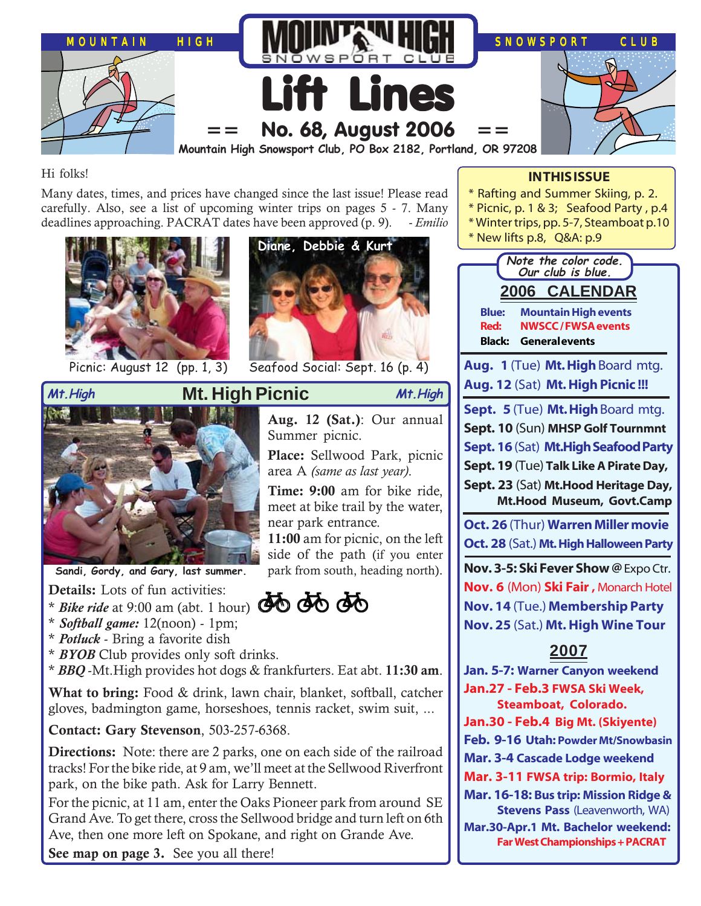

### Hi folks!

Many dates, times, and prices have changed since the last issue! Please read carefully. Also, see a list of upcoming winter trips on pages 5 - 7. Many deadlines approaching. PACRAT dates have been approved (p. 9). - *Emilio*





Picnic: August 12 (pp. 1, 3) Seafood Social: Sept. 16 (p. 4)



**Sandi, Gordy, and Gary, last summer.**

**Details:** Lots of fun activities:

- Details: Lots of fun activities:<br>\* *Bike ride* at 9:00 am (abt. 1 hour) **A**O **AO**
- \* *Softball game:* 12(noon) 1pm;
- \* *Potluck* Bring a favorite dish
- \* *BYOB* Club provides only soft drinks.

\* *BBQ* -Mt.High provides hot dogs & frankfurters. Eat abt. **11:30 am**.

**What to bring:** Food & drink, lawn chair, blanket, softball, catcher gloves, badmington game, horseshoes, tennis racket, swim suit, ...

**Contact: Gary Stevenson**, 503-257-6368.

**Directions:** Note: there are 2 parks, one on each side of the railroad tracks! For the bike ride, at 9 am, we'll meet at the Sellwood Riverfront park, on the bike path. Ask for Larry Bennett.

For the picnic, at 11 am, enter the Oaks Pioneer park from around SE Grand Ave. To get there, cross the Sellwood bridge and turn left on 6th Ave, then one more left on Spokane, and right on Grande Ave.

**See map on page 3.** See you all there!

### **IN THIS ISSUE**

- \* Rafting and Summer Skiing, p. 2.
- \* Picnic, p. 1 & 3; Seafood Party , p.4
- \* Winter trips, pp. 5-7, Steamboat p.10
- \* New lifts p.8, Q&A: p.9



**Aug. 12 (Sat.)**: Our annual Summer picnic.

**Place:** Sellwood Park, picnic area A *(same as last year)*.

**Time: 9:00** am for bike ride, meet at bike trail by the water, near park entrance.

**11:00** am for picnic, on the left side of the path (if you enter park from south, heading north).

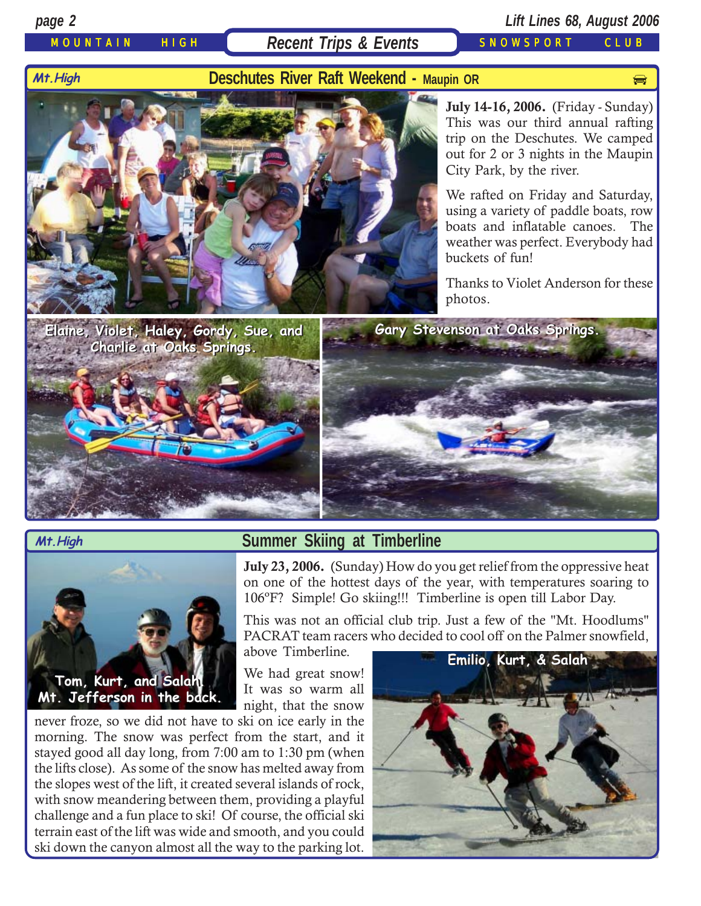### MOUNTAIN HIGH Recent Trips & Events SNOWSPORT CLUB

### *page 2 Lift Lines 68, August 2006*

# **Deschutes River Raft Weekend - Maupin OR** production and production of the state of the state of the state of the state of the state of the state of the state of the state of the state of the state of the state of the sta



**July 14-16, 2006.** (Friday - Sunday) This was our third annual rafting trip on the Deschutes. We camped out for 2 or 3 nights in the Maupin City Park, by the river.

We rafted on Friday and Saturday, using a variety of paddle boats, row boats and inflatable canoes. The weather was perfect. Everybody had buckets of fun!

Thanks to Violet Anderson for these photos.



**Mt.High**

### **Summer Skiing at Timberline**

**July 23, 2006.** (Sunday) How do you get relief from the oppressive heat on one of the hottest days of the year, with temperatures soaring to 106ºF? Simple! Go skiing!!! Timberline is open till Labor Day.

This was not an official club trip. Just a few of the "Mt. Hoodlums" PACRAT team racers who decided to cool off on the Palmer snowfield,

above Timberline.

We had great snow! It was so warm all night, that the snow

never froze, so we did not have to ski on ice early in the morning. The snow was perfect from the start, and it stayed good all day long, from 7:00 am to 1:30 pm (when the lifts close). As some of the snow has melted away from the slopes west of the lift, it created several islands of rock, with snow meandering between them, providing a playful challenge and a fun place to ski! Of course, the official ski terrain east of the lift was wide and smooth, and you could ski down the canyon almost all the way to the parking lot.

**Tom, Kurt, and Salah. Tom, Kurt, and Salah. Mt. Jefferson in the back. Mt. Jefferson in the back.**

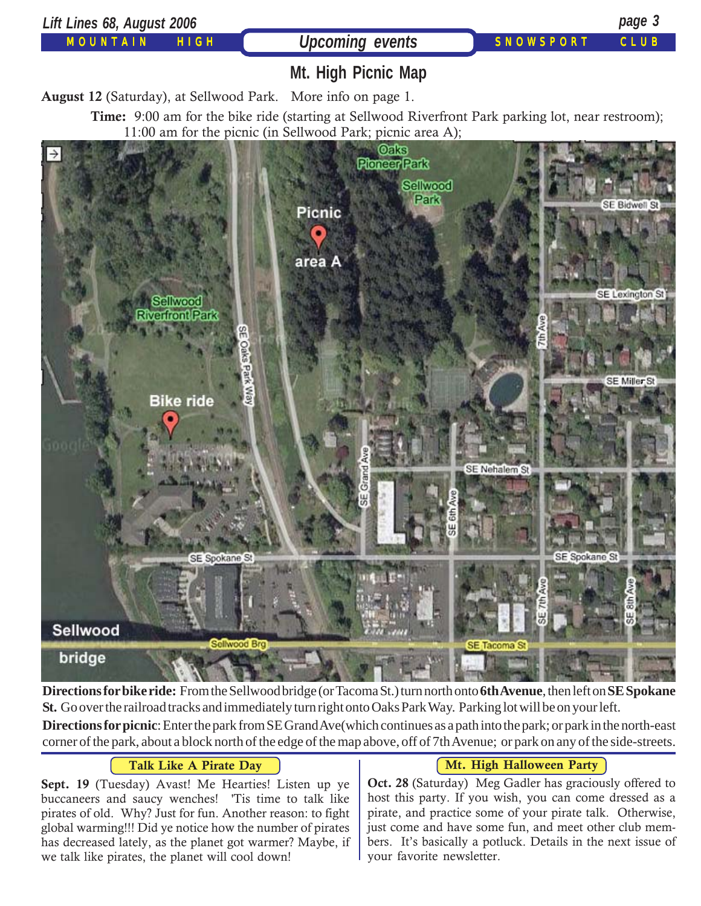

bridge

**Directions for bike ride:** From the Sellwood bridge (or Tacoma St.) turn north onto **6th Avenue**, then left on **SE Spokane St.** Go over the railroad tracks and immediately turn right onto Oaks Park Way. Parking lot will be on your left.

**Directions for picnic**: Enter the park from SE Grand Ave(which continues as a path into the park; or park in the north-east corner of the park, about a block north of the edge of the map above, off of 7th Avenue; or park on any of the side-streets.

### **Talk Like A Pirate Day**

**Sept. 19** (Tuesday) Avast! Me Hearties! Listen up ye buccaneers and saucy wenches! 'Tis time to talk like pirates of old. Why? Just for fun. Another reason: to fight global warming!!! Did ye notice how the number of pirates has decreased lately, as the planet got warmer? Maybe, if we talk like pirates, the planet will cool down!

### **Mt. High Halloween Party**

**Oct. 28** (Saturday) Meg Gadler has graciously offered to host this party. If you wish, you can come dressed as a pirate, and practice some of your pirate talk. Otherwise, just come and have some fun, and meet other club members. It's basically a potluck. Details in the next issue of your favorite newsletter.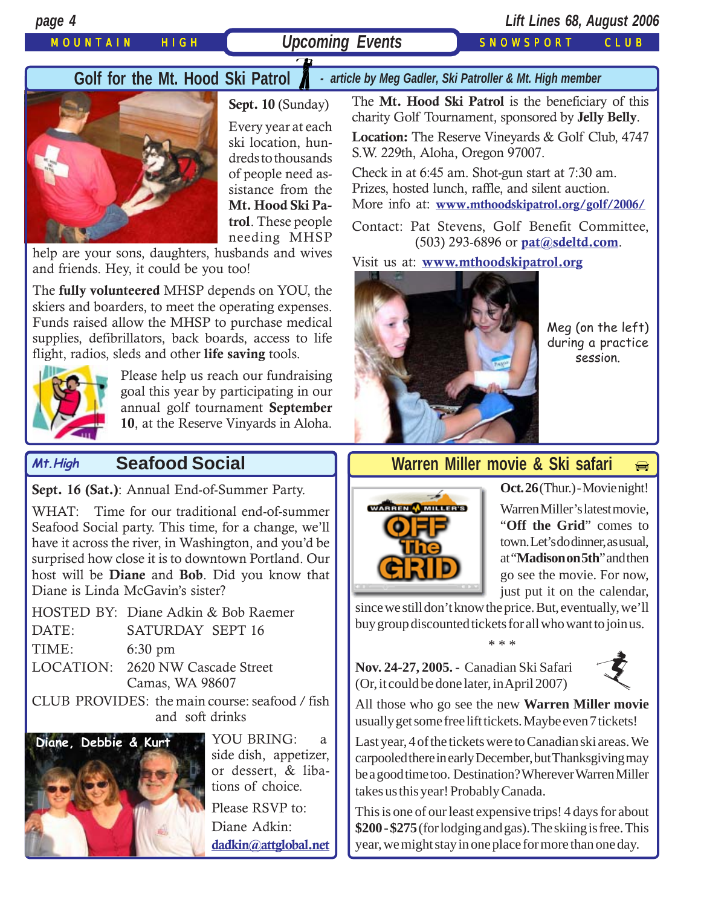### MOUNTAIN HIGH ( Upcoming Events ) SNOWSPORT CLUB

*page 4 Lift Lines 68, August 2006*

### Golf for the Mt. Hood Ski Patrol *- article by Meg Gadler, Ski Patroller & Mt. High member*



**Sept. 10** (Sunday) Every year at each ski location, hundreds to thousands of people need assistance from the **Mt. Hood Ski Patrol**. These people needing MHSP

help are your sons, daughters, husbands and wives and friends. Hey, it could be you too!

The **fully volunteered** MHSP depends on YOU, the skiers and boarders, to meet the operating expenses. Funds raised allow the MHSP to purchase medical supplies, defibrillators, back boards, access to life flight, radios, sleds and other **life saving** tools.



Please help us reach our fundraising goal this year by participating in our annual golf tournament **September 10**, at the Reserve Vinyards in Aloha.

### **Seafood Social Mt.High**

**Sept. 16 (Sat.)**: Annual End-of-Summer Party.

WHAT: Time for our traditional end-of-summer Seafood Social party. This time, for a change, we'll have it across the river, in Washington, and you'd be surprised how close it is to downtown Portland. Our host will be **Diane** and **Bob**. Did you know that Diane is Linda McGavin's sister?

|       | HOSTED BY: Diane Adkin & Bob Raemer |  |
|-------|-------------------------------------|--|
| DATE: | SATURDAY SEPT 16                    |  |
| TIME: | $6:30 \text{ pm}$                   |  |
|       | LOCATION: 2620 NW Cascade Street    |  |
|       | Camas, WA 98607                     |  |

CLUB PROVIDES: the main course: seafood / fish and soft drinks



YOU BRING: a side dish, appetizer, or dessert, & libations of choice.

Please RSVP to: Diane Adkin: **[dadkin@attglobal.net](mailto:dadkin@attglobal.net)**

The **Mt. Hood Ski Patrol** is the beneficiary of this charity Golf Tournament, sponsored by **Jelly Belly**.

**Location:** The Reserve Vineyards & Golf Club, 4747 S.W. 229th, Aloha, Oregon 97007.

Check in at 6:45 am. Shot-gun start at 7:30 am. Prizes, hosted lunch, raffle, and silent auction. More info at: **[www.mthoodskipatrol.org/golf/2006/](http://www.mthoodskipatrol.org/golf/2006/)**

Contact: Pat Stevens, Golf Benefit Committee, (503) 293-6896 or **[pat@sdeltd.com](mailto:pat@sdeltd.com)**.

### Visit us at: **[www.mthoodskipatrol.org](http:// www.mthoodskipatrol.org)**



Meg (on the left) during a practice session.

 $\bigoplus$  $\bigoplus$  $\bigoplus$ 

### **Warren Miller movie & Ski safari**



**Oct. 26** (Thur.) - Movie night! Warren Miller's latest movie, "**Off the Grid**" comes to town. Let's do dinner, as usual, at "**Madison on 5th**" and then go see the movie. For now, just put it on the calendar,

[since we still don't know the price. But, eventually, we'll](http://beavercreek.snow.com/winterhome.asp) buy group discounted tickets for all who want to join us. \* \* \*

**[Nov. 24-27, 2005. -](http://beavercreek.snow.com/winterhome.asp)** Canadian Ski Safari (Or, it could be done later, in April 2007)



All those who go see the new **Warren Miller movie** usually get some free lift tickets. Maybe even 7 tickets!

Last year, 4 of the tickets were to Canadian ski areas. We carpooled there in early December, but Thanksgiving may be a good time too. Destination? Wherever Warren Miller takes us this year! Probably Canada.

This is one of our least expensive trips! 4 days for about **\$200 - \$275** (for lodging and gas). The skiing is free. This year, we might stay in one place for more than one day.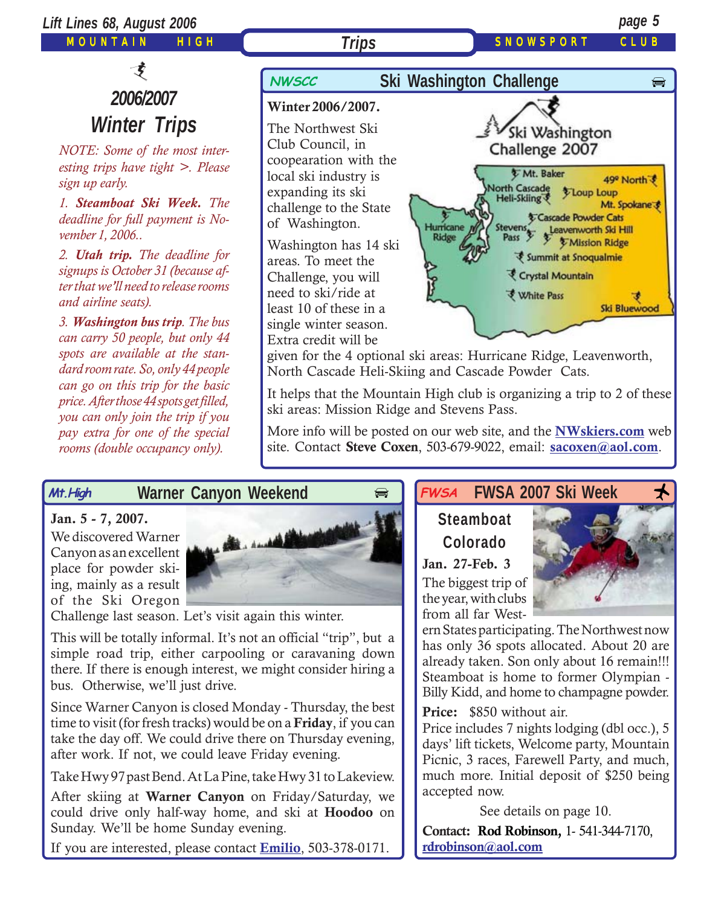

ski areas: Mission Ridge and Stevens Pass.

More info will be posted on our web site, and the **[NWskiers.com](http://www.nwskiers.org/)** web site. Contact **Steve Coxen**, 503-679-9022, email: **[sacoxen@aol.com](mailto:sacoxen@aol.com)**.

### **Warner Canyon Weekend Mt.High**

### **Jan. 5 - 7, 2007.**

We discovered Warner Canyon as an excellent place for powder skiing, mainly as a result of the Ski Oregon

*you can only join the trip if you pay extra for one of the special rooms (double occupancy only).*



Challenge last season. Let's visit again this winter.

This will be totally informal. It's not an official "trip", but a simple road trip, either carpooling or caravaning down there. If there is enough interest, we might consider hiring a bus. Otherwise, we'll just drive.

Since Warner Canyon is closed Monday - Thursday, the best time to visit (for fresh tracks) would be on a **Friday**, if you can take the day off. We could drive there on Thursday evening, after work. If not, we could leave Friday evening.

Take Hwy 97 past Bend. At La Pine, take Hwy 31 to Lakeview.

After skiing at **Warner Canyon** on Friday/Saturday, we could drive only half-way home, and ski at **Hoodoo** on Sunday. We'll be home Sunday evening.

If you are interested, please contact **[Emilio](mailto:Emilio2000@earthlink.net)**, 503-378-0171.

### **FWSA FWSA 2007 Ski Week**  $\star$ **FWSA**

# **Steamboat Colorado**

**Jan. 27-Feb. 3** The biggest trip of the year, with clubs from all far West-

ern States participating. The Northwest now has only 36 spots allocated. About 20 are already taken. Son only about 16 remain!!! Steamboat is home to former Olympian - Billy Kidd, and home to champagne powder.

**Price:** \$850 without air.

Price includes 7 nights lodging (dbl occ.), 5 days' lift tickets, Welcome party, Mountain Picnic, 3 races, Farewell Party, and much, much more. Initial deposit of \$250 being accepted now.

See details on page 10. **Contact: Rod Robinson,** 1- 541-344-7170, **[rdrobinson@aol.com](mailto:rdrobinson@aol.com)**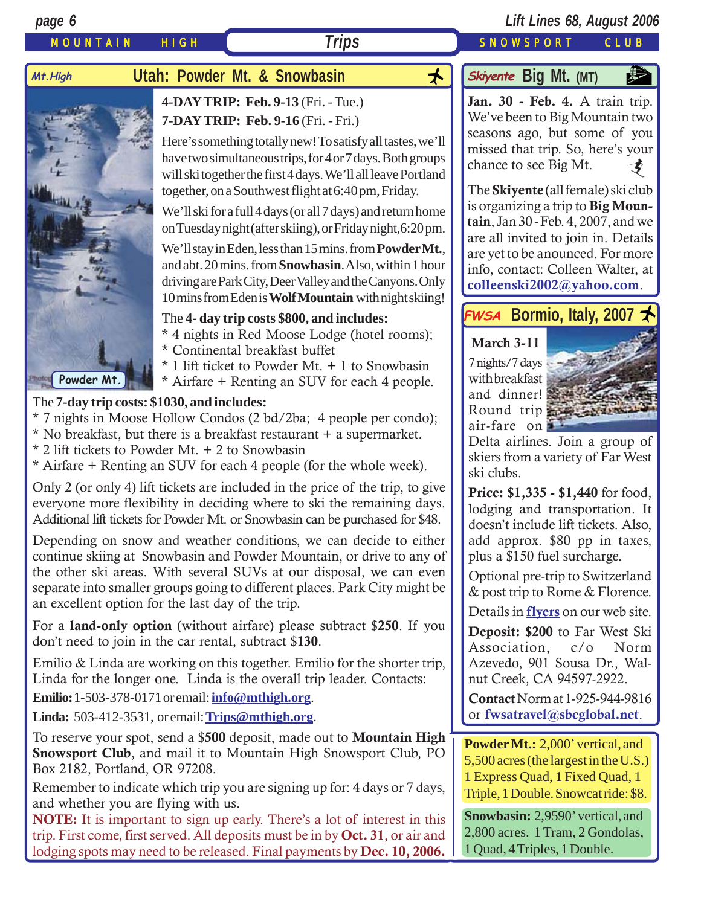

For a **land-only option** (without airfare) please subtract \$**250**. If you don't need to join in the car rental, subtract \$**130**.

Emilio & Linda are working on this together. Emilio for the shorter trip, Linda for the longer one. Linda is the overall trip leader. Contacts:

**Emilio:**1-503-378-0171 or email: **[info@mthigh.org](mailto:info@mthigh.org)**.

**Linda:** 503-412-3531, or email: **[Trips@mthigh.org](mailto:Trips@mthigh.org)**.

To reserve your spot, send a \$**500** deposit, made out to **Mountain High Snowsport Club**, and mail it to Mountain High Snowsport Club, PO Box 2182, Portland, OR 97208.

Remember to indicate which trip you are signing up for: 4 days or 7 days, and whether you are flying with us.

**NOTE:** It is important to sign up early. There's a lot of interest in this trip. First come, first served. All deposits must be in by **Oct. 31**, or air and lodging spots may need to be released. Final payments by **Dec. 10, 2006.**

Details in **[flyers](http://www.mthigh.org/Trips.htm#Bormio)** on our web site.

**Deposit: \$200** to Far West Ski Association, c/o Norm Azevedo, 901 Sousa Dr., Walnut Creek, CA 94597-2922.

**Contact** Norm at 1-925-944-9816 or **[fwsatravel@sbcglobal.net](mailto:fwsatravel@sbcglobal.net)**.

**Powder Mt.:** 2,000' vertical, and 5,500 acres (the largest in the U.S.) 1 Express Quad, 1 Fixed Quad, 1 Triple, 1 Double. Snowcat ride: \$8.

**Snowbasin:** 2,9590' vertical, and 2,800 acres. 1 Tram, 2 Gondolas, 1 Quad, 4 Triples, 1 Double.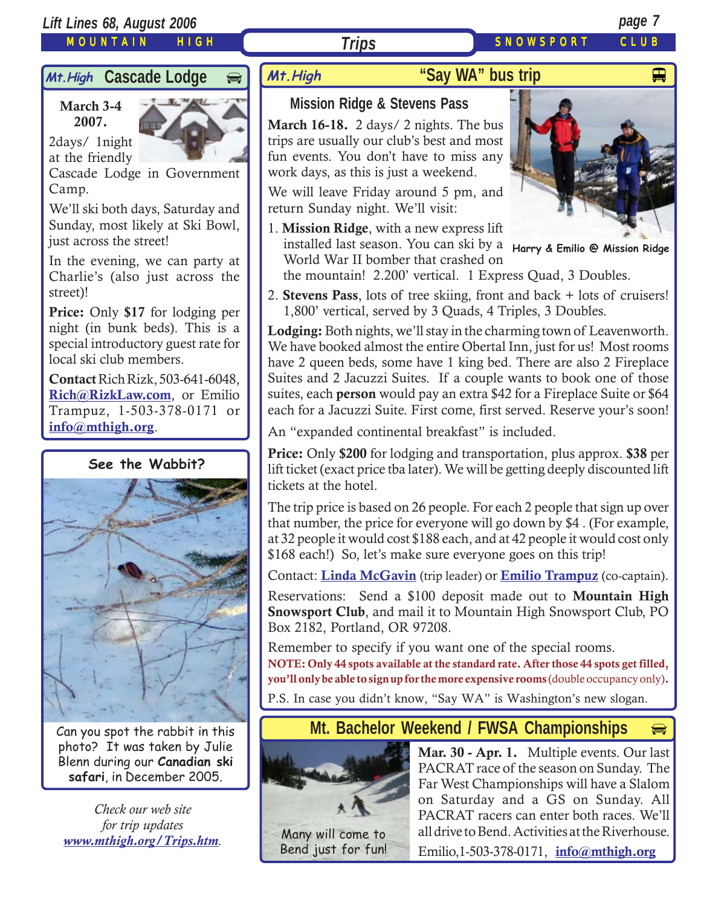### *Lift Lines 68, August 2006 page 7*

### MOUNTAIN HIGH

# Mt. High **Cascade Lodge**

**March 3-4 2007.**

2days/ 1night at the friendly



Cascade Lodge in Government Camp.

We'll ski both days, Saturday and Sunday, most likely at Ski Bowl, just across the street!

In the evening, we can party at Charlie's (also just across the street)!

**Price:** Only **\$17** for lodging per night (in bunk beds). This is a special introductory guest rate for local ski club members.

**Contact** Rich Rizk, 503-641-6048, **[Rich@RizkLaw.com](mailto:Rich@RizkLaw.com)**, or Emilio Trampuz, 1-503-378-0171 or **[info@mthigh.org](mailto:info@mthigh.org)**.

### **See the Wabbit?**



Can you spot the rabbit in this photo? It was taken by Julie Blenn during our **Canadian ski safari**, in December 2005.

*Check our web site for trip updates [www.mthigh.org/Trips.htm](http://www.mthigh.org/Trips.htm).* Many will come to

# **"Say WA" bus trip** And Alleman Wand Alleman Alleman Alleman Alleman Alleman Alleman Alleman Alleman Alleman Al

# **Mission Ridge & Stevens Pass**

*Trips*

**March 16-18.** 2 days/ 2 nights. The bus trips are usually our club's best and most fun events. You don't have to miss any work days, as this is just a weekend.

We will leave Friday around 5 pm, and return Sunday night. We'll visit:

1. **Mission Ridge**, with a new express lift World War II bomber that crashed on the mountain! 2.200' vertical. 1 Express Quad, 3 Doubles.



installed last season. You can ski by a **Harry & Emilio @ Mission Ridge**

2. **Stevens Pass**, lots of tree skiing, front and back + lots of cruisers!

1,800' vertical, served by 3 Quads, 4 Triples, 3 Doubles.

**Lodging:** Both nights, we'll stay in the charming town of Leavenworth. We have booked almost the entire Obertal Inn, just for us! Most rooms have 2 queen beds, some have 1 king bed. There are also 2 Fireplace Suites and 2 Jacuzzi Suites. If a couple wants to book one of those suites, each **person** would pay an extra \$42 for a Fireplace Suite or \$64 each for a Jacuzzi Suite. First come, first served. Reserve your's soon!

An "expanded continental breakfast" is included.

**Price:** Only **\$200** for lodging and transportation, plus approx. **\$38** per lift ticket (exact price tba later). We will be getting deeply discounted lift tickets at the hotel.

The trip price is based on 26 people. For each 2 people that sign up over that number, the price for everyone will go down by \$4 . (For example, at 32 people it would cost \$188 each, and at 42 people it would cost only \$168 each!) So, let's make sure everyone goes on this trip!

Contact: **[Linda McGavin](mailto:Trips@mthigh.org)** (trip leader) or **[Emilio Trampuz](mailto:info@mthigh.org)** (co-captain).

Reservations: Send a \$100 deposit made out to **Mountain High Snowsport Club**, and mail it to Mountain High Snowsport Club, PO Box 2182, Portland, OR 97208.

Remember to specify if you want one of the special rooms. **NOTE: Only 44 spots available at the standard rate. After those 44 spots get filled, you'll only be able to sign up for the more expensive rooms** (double occupancy only)**.** P.S. In case you didn't know, "Say WA" is Washington's new slogan.

## **Mt. Bachelor Weekend / FWSA Championships**



Bend just for fun!

**Mar. 30 - Apr. 1.** Multiple events. Our last PACRAT race of the season on Sunday. The Far West Championships will have a Slalom on Saturday and a GS on Sunday. All PACRAT racers can enter both races. We'll all drive to Bend. Activities at the Riverhouse.

⊜

Emilio,1-503-378-0171, **[info@mthigh.org](mailto:info@mthigh.org)**

### SNOWSPORT CLUB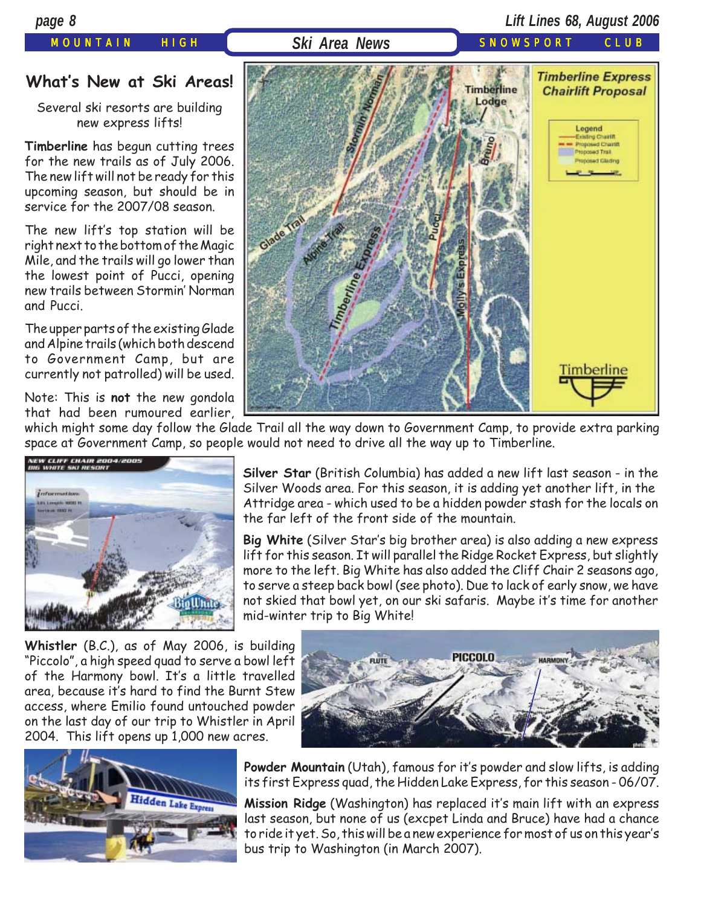### *page 8 Lift Lines 68, August 2006*

### **What's New at Ski Areas!**

Several ski resorts are building new express lifts!

**Timberline** has begun cutting trees for the new trails as of July 2006. The new lift will not be ready for this upcoming season, but should be in service for the 2007/08 season.

The new lift's top station will be right next to the bottom of the Magic Mile, and the trails will go lower than the lowest point of Pucci, opening new trails between Stormin' Norman and Pucci.

The upper parts of the existing Glade and Alpine trails (which both descend to Government Camp, but are currently not patrolled) will be used.

Note: This is **not** the new gondola that had been rumoured earlier,

MOUNTAIN HIGH **Ski Area News** SNOWSPORT CLUB **Timberline Express Timberline Chairlift Proposal** Lodge Legend **Existing Chastin Proposed Chamit** Proposed Trail modest Glading Timberline

which might some day follow the Glade Trail all the way down to Government Camp, to provide extra parking space at Government Camp, so people would not need to drive all the way up to Timberline.



**Silver Star** (British Columbia) has added a new lift last season - in the Silver Woods area. For this season, it is adding yet another lift, in the Attridge area - which used to be a hidden powder stash for the locals on the far left of the front side of the mountain.

**Big White** (Silver Star's big brother area) is also adding a new express lift for this season. It will parallel the Ridge Rocket Express, but slightly more to the left. Big White has also added the Cliff Chair 2 seasons ago, to serve a steep back bowl (see photo). Due to lack of early snow, we have not skied that bowl yet, on our ski safaris. Maybe it's time for another mid-winter trip to Big White!

**Whistler** (B.C.), as of May 2006, is building "Piccolo", a high speed quad to serve a bowl left of the Harmony bowl. It's a little travelled area, because it's hard to find the Burnt Stew access, where Emilio found untouched powder on the last day of our trip to Whistler in April 2004. This lift opens up 1,000 new acres.





**Powder Mountain** (Utah), famous for it's powder and slow lifts, is adding its first Express quad, the Hidden Lake Express, for this season - 06/07.

**Mission Ridge** (Washington) has replaced it's main lift with an express last season, but none of us (excpet Linda and Bruce) have had a chance to ride it yet. So, this will be a new experience for most of us on this year's bus trip to Washington (in March 2007).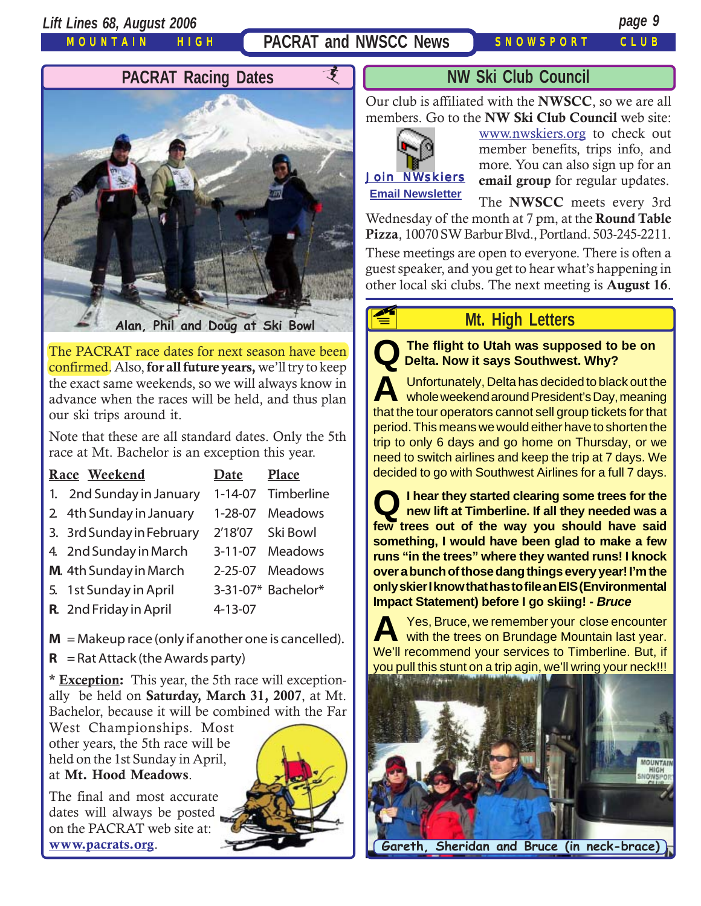*Lift Lines 68, August 2006 page 9*

MOUNTAIN HIGH

**PACRAT and NWSCC News** SNOWSPORT CLUB



The PACRAT race dates for next season have been confirmed. Also, **for all future years,** we'll try to keep the exact same weekends, so we will always know in advance when the races will be held, and thus plan our ski trips around it.

Note that these are all standard dates. Only the 5th race at Mt. Bachelor is an exception this year.

| Race Weekend              | Date          | <b>Place</b>       |
|---------------------------|---------------|--------------------|
| 1. 2nd Sunday in January  | $1 - 14 - 07$ | Timberline         |
| 2 4th Sunday in January   | 1-28-07       | <b>Meadows</b>     |
| 3. 3rd Sunday in February | 2'18'07       | Ski Bowl           |
| 4. 2nd Sunday in March    | $3 - 11 - 07$ | <b>Meadows</b>     |
| M. 4th Sunday in March    | $2 - 25 - 07$ | <b>Meadows</b>     |
| 5. 1st Sunday in April    |               | 3-31-07* Bachelor* |
| R. 2nd Friday in April    | 4-13-07       |                    |
|                           |               |                    |

 $M = M$ akeup race (only if another one is cancelled).

 $R =$ Rat Attack (the Awards party)

**\* Exception:** This year, the 5th race will exceptionally be held on **Saturday, March 31, 2007**, at Mt. Bachelor, because it will be combined with the Far

West Championships. Most other years, the 5th race will be held on the 1st Sunday in April, at **Mt. Hood Meadows**.

The final and most accurate dates will always be posted on the PACRAT web site at: **[www.pacrats.org](http://www.pacrats.org/)**.



### **NW Ski Club Council**

Our club is affiliated with the **NWSCC**, so we are all members. Go to the **NW Ski Club Council** web site:



**FE** 

[www.nwskiers.org](http://www.nwskiers.org/) to check out member benefits, trips info, and more. You can also sign up for an **email group** for regular updates.

The **NWSCC** meets every 3rd Wednesday of the month at 7 pm, at the **Round Table Pizza**, 10070 SW Barbur Blvd., Portland. 503-245-2211.

These meetings are open to everyone. There is often a guest speaker, and you get to hear what's happening in other local ski clubs. The next meeting is **August 16**.

# **Mt. High Letters**

**Q The flight to Utah was supposed to be on Delta. Now it says Southwest. Why?**

**A** Unfortunately, Delta has decided to black out the whole weekend around President's Day, meaning that the tour operators cannot sell group tickets for that period. This means we would either have to shorten the trip to only 6 days and go home on Thursday, or we need to switch airlines and keep the trip at 7 days. We decided to go with Southwest Airlines for a full 7 days.

**Q I hear they started clearing some trees for the new lift at Timberline. If all they needed was a few trees out of the way you should have said something, I would have been glad to make a few runs "in the trees" where they wanted runs! I knock over a bunch of those dang things every year! I'm the only skier I know that has to file an EIS (Environmental Impact Statement) before I go skiing! -** *Bruce*

**A** Yes, Bruce, we remember your close encounter<br>with the trees on Brundage Mountain last year. We'll recommend your services to Timberline. But, if you pull this stunt on a trip agin, we'll wring your neck!!!

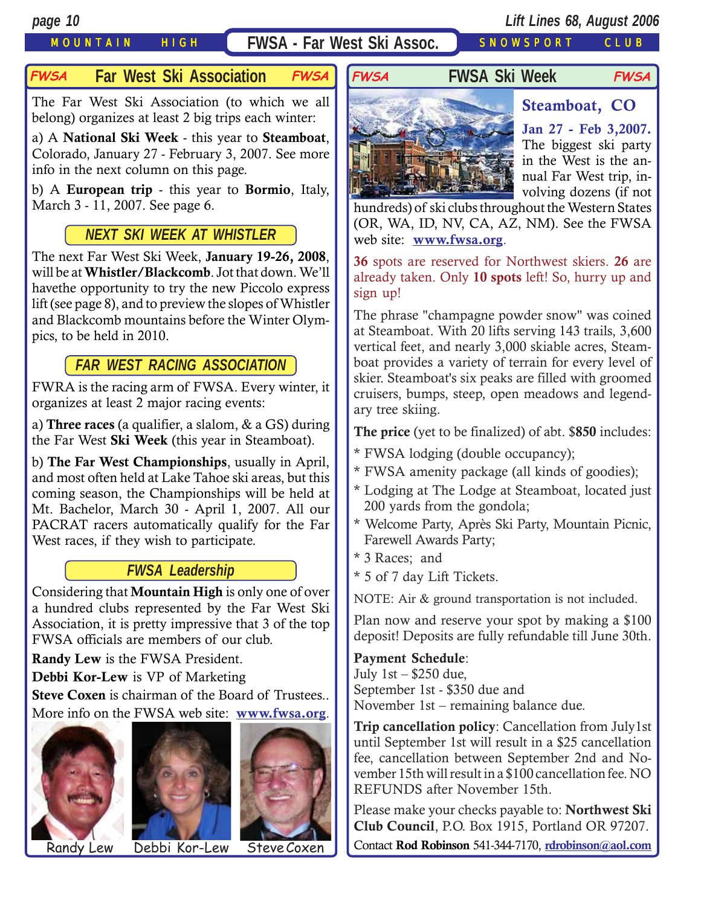## MOUNTAIN HIGH **FWSA - Far West Ski Assoc.** SNOWSPORT CLUB

### **Far West Ski Association FWSA FWSA FWSA Ski Week**

The Far West Ski Association (to which we all belong) organizes at least 2 big trips each winter:

a) A **National Ski Week** - this year to **Steamboat**, Colorado, January 27 - February 3, 2007. See more info in the next column on this page.

b) A **European trip** - this year to **Bormio**, Italy, March 3 - 11, 2007. See page 6.

## *NEXT SKI WEEK AT WHISTLER*

The next Far West Ski Week, **January 19-26, 2008**, will be at **Whistler/Blackcomb**. Jot that down. We'll havethe opportunity to try the new Piccolo express lift (see page 8), and to preview the slopes of Whistler and Blackcomb mountains before the Winter Olympics, to be held in 2010.

## *FAR WEST RACING ASSOCIATION*

FWRA is the racing arm of FWSA. Every winter, it organizes at least 2 major racing events:

a) **Three races** (a qualifier, a slalom, & a GS) during the Far West **Ski Week** (this year in Steamboat).

b) **The Far West Championships**, usually in April, and most often held at Lake Tahoe ski areas, but this coming season, the Championships will be held at Mt. Bachelor, March 30 - April 1, 2007. All our PACRAT racers automatically qualify for the Far West races, if they wish to participate.

## *FWSA Leadership*

Considering that **Mountain High** is only one of over a hundred clubs represented by the Far West Ski Association, it is pretty impressive that 3 of the top FWSA officials are members of our club.

**Randy Lew** is the FWSA President.

**Debbi Kor-Lew** is VP of Marketing

**Steve Coxen** is chairman of the Board of Trustees.. More info on the FWSA web site: **[www.fwsa.org](http://www.fwsa.org/)**.







Randy Lew Debbi Kor-Lew Steve Coxen

**Jan 27 - Feb 3,2007.** The biggest ski party in the West is the annual Far West trip, involving dozens (if not

hundreds) of ski clubs throughout the Western States (OR, WA, ID, NV, CA, AZ, NM). See the FWSA web site: **[www.fwsa.org](http://www.fwsa.org/)**.

**FWSA FWSA**

**36** spots are reserved for Northwest skiers. **26** are already taken. Only **10 spots** left! So, hurry up and sign up!

The phrase "champagne powder snow" was coined at Steamboat. With 20 lifts serving 143 trails, 3,600 vertical feet, and nearly 3,000 skiable acres, Steamboat provides a variety of terrain for every level of skier. Steamboat's six peaks are filled with groomed cruisers, bumps, steep, open meadows and legendary tree skiing.

**The price** (yet to be finalized) of abt. \$**850** includes:

- \* FWSA lodging (double occupancy);
- \* FWSA amenity package (all kinds of goodies);
- \* Lodging at The Lodge at Steamboat, located just 200 yards from the gondola;
- \* Welcome Party, Après Ski Party, Mountain Picnic, Farewell Awards Party;
- \* 3 Races; and
- \* 5 of 7 day Lift Tickets.

NOTE: Air & ground transportation is not included.

Plan now and reserve your spot by making a \$100 deposit! Deposits are fully refundable till June 30th.

### **Payment Schedule**:

July 1st – \$250 due, September 1st - \$350 due and November 1st – remaining balance due.

**Trip cancellation policy**: Cancellation from July1st until September 1st will result in a \$25 cancellation fee, cancellation between September 2nd and November 15th will result in a \$100 cancellation fee. NO REFUNDS after November 15th.

Please make your checks payable to: **Northwest Ski Club Council**, P.O. Box 1915, Portland OR 97207.

Contact **Rod Robinson** 541-344-7170, **[rdrobinson@aol.com](mailto:rdrobinson@aol.com)**

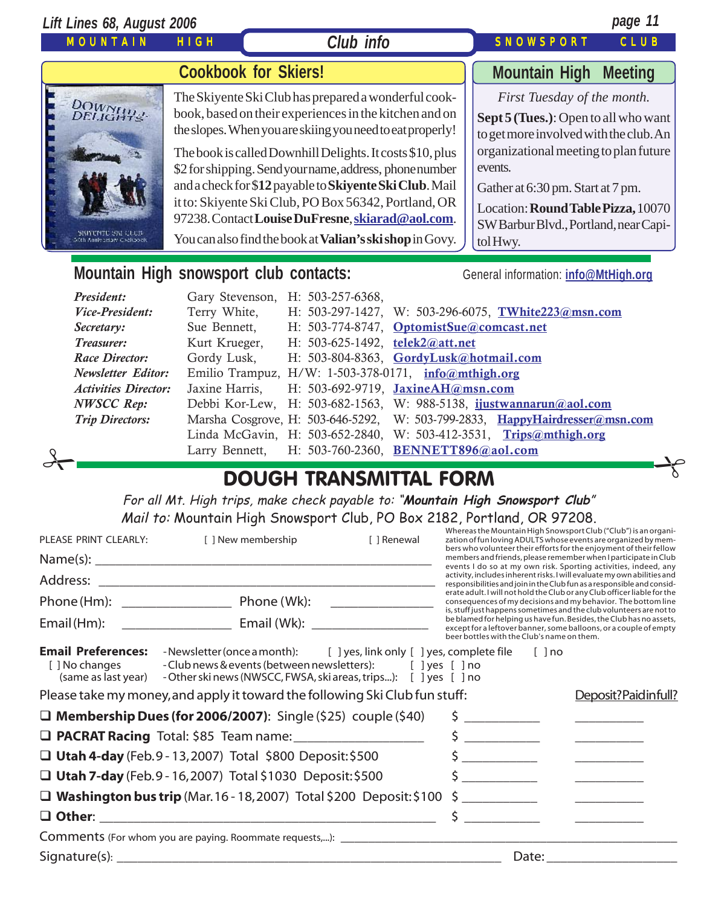| Lift Lines 68, August 2006                                               |             |                                                                                                                                                                                                                                                                                                                                                                                                                                                                                                                                               | page 11                                                                                                                                                                                                                                                                                          |
|--------------------------------------------------------------------------|-------------|-----------------------------------------------------------------------------------------------------------------------------------------------------------------------------------------------------------------------------------------------------------------------------------------------------------------------------------------------------------------------------------------------------------------------------------------------------------------------------------------------------------------------------------------------|--------------------------------------------------------------------------------------------------------------------------------------------------------------------------------------------------------------------------------------------------------------------------------------------------|
| <b>MOUNTAIN</b>                                                          | <b>HIGH</b> | <b>Club info</b>                                                                                                                                                                                                                                                                                                                                                                                                                                                                                                                              | <b>SNOWSPORT</b><br>CLUB                                                                                                                                                                                                                                                                         |
|                                                                          |             | <b>Cookbook for Skiers!</b>                                                                                                                                                                                                                                                                                                                                                                                                                                                                                                                   | <b>Mountain High</b><br><b>Meeting</b>                                                                                                                                                                                                                                                           |
| DOWNH44-<br><b>SKITTNTE SKI CLOB</b><br><b>Dúth Anniversary Cookbook</b> |             | The Skiyente Ski Club has prepared a wonderful cook-<br>book, based on their experiences in the kitchen and on<br>the slopes. When you are skiing you need to eat properly!<br>The book is called Downhill Delights. It costs \$10, plus<br>\$2 for shipping. Send your name, address, phone number<br>and a check for \$12 payable to Skiyente Ski Club. Mail<br>it to: Skiyente Ski Club, PO Box 56342, Portland, OR<br>97238. Contact Louise DuFresne, skiarad@aol.com.<br>You can also find the book at <b>Valian's ski shop</b> in Govy. | First Tuesday of the month.<br>Sept 5 (Tues.): Open to all who want<br>to get more involved with the club. An<br>organizational meeting to plan future<br>events.<br>Gather at 6:30 pm. Start at 7 pm.<br>Location: Round Table Pizza, 10070<br>SW Barbur Blvd., Portland, near Capi-<br>tolHwy. |
|                                                                          |             | Mountain High snowsport club contacts:                                                                                                                                                                                                                                                                                                                                                                                                                                                                                                        | General information: info@MtHigh.org                                                                                                                                                                                                                                                             |

| President:                  |                | Gary Stevenson, H: 503-257-6368,                                            |  |  |  |  |  |
|-----------------------------|----------------|-----------------------------------------------------------------------------|--|--|--|--|--|
| Vice-President:             | Terry White,   | H: 503-297-1427, W: 503-296-6075, TWhite223@msn.com                         |  |  |  |  |  |
| Secretary:                  | Sue Bennett,   | H: 503-774-8747, OptomistSue@comcast.net                                    |  |  |  |  |  |
| Treasurer:                  | Kurt Krueger,  | H: 503-625-1492, telek2@att.net                                             |  |  |  |  |  |
| Race Director:              | Gordy Lusk,    | H: 503-804-8363, GordyLusk@hotmail.com                                      |  |  |  |  |  |
| <b>Newsletter Editor:</b>   |                | Emilio Trampuz, H/W: 1-503-378-0171, $info@mthigh.org$                      |  |  |  |  |  |
| <b>Activities Director:</b> | Jaxine Harris, | H: 503-692-9719, JaxineAH@msn.com                                           |  |  |  |  |  |
| <b>NWSCC Rep:</b>           |                | Debbi Kor-Lew, H: 503-682-1563, W: 988-5138, ijustwannarun@aol.com          |  |  |  |  |  |
| <b>Trip Directors:</b>      |                | Marsha Cosgrove, H: 503-646-5292, W: 503-799-2833, HappyHairdresser@msn.com |  |  |  |  |  |
|                             |                | Linda McGavin, H: 503-652-2840, W: 503-412-3531, Trips@mthigh.org           |  |  |  |  |  |
| $\circ$                     |                | Larry Bennett, H: 503-760-2360, BENNETT896@aol.com                          |  |  |  |  |  |
| DOLICU TOANICAAITTAI EODAA  |                |                                                                             |  |  |  |  |  |

# DOUGH TRANSMITTAL FORM

For all Mt. High trips, make check payable to: "**Mountain High Snowsport Club**" Mail to: Mountain High Snowsport Club, PO Box 2182, Portland, OR 97208.

| PLEASE PRINT CLEARLY:                                              | [ ] New membership                                                                                                                                                                                      | [ ] Renewal | Whereas the Mountain High Snowsport Club ("Club") is an organi-<br>zation of fun loving ADULTS whose events are organized by mem-<br>bers who volunteer their efforts for the enjoyment of their fellow          |                                                                                                                                                                                                                                                                                                                                                                                                                                        |  |
|--------------------------------------------------------------------|---------------------------------------------------------------------------------------------------------------------------------------------------------------------------------------------------------|-------------|------------------------------------------------------------------------------------------------------------------------------------------------------------------------------------------------------------------|----------------------------------------------------------------------------------------------------------------------------------------------------------------------------------------------------------------------------------------------------------------------------------------------------------------------------------------------------------------------------------------------------------------------------------------|--|
|                                                                    |                                                                                                                                                                                                         |             | members and friends, please remember when I participate in Club<br>events I do so at my own risk. Sporting activities, indeed, any                                                                               |                                                                                                                                                                                                                                                                                                                                                                                                                                        |  |
|                                                                    |                                                                                                                                                                                                         |             | activity, includes inherent risks. I will evaluate my own abilities and<br>responsibilities and join in the Club fun as a responsible and consid-                                                                |                                                                                                                                                                                                                                                                                                                                                                                                                                        |  |
|                                                                    |                                                                                                                                                                                                         |             | erate adult. I will not hold the Club or any Club officer liable for the<br>consequences of my decisions and my behavior. The bottom line<br>is, stuff just happens sometimes and the club volunteers are not to |                                                                                                                                                                                                                                                                                                                                                                                                                                        |  |
| Email (Hm):                                                        |                                                                                                                                                                                                         |             | be blamed for helping us have fun. Besides, the Club has no assets,<br>except for a leftover banner, some balloons, or a couple of empty<br>beer bottles with the Club's name on them.                           |                                                                                                                                                                                                                                                                                                                                                                                                                                        |  |
| <b>Email Preferences:</b><br>[ ] No changes<br>(same as last year) | -Newsletter (once a month): [ ] yes, link only [ ] yes, complete file<br>- Club news & events (between newsletters): [ ] yes [ ] no<br>- Other ski news (NWSCC, FWSA, ski areas, trips): [ ] yes [ ] no |             | $[ ]$ no                                                                                                                                                                                                         |                                                                                                                                                                                                                                                                                                                                                                                                                                        |  |
|                                                                    | Please take my money, and apply it toward the following Ski Club fun stuff:                                                                                                                             |             |                                                                                                                                                                                                                  | Deposit?Paidinfull?                                                                                                                                                                                                                                                                                                                                                                                                                    |  |
|                                                                    | $\Box$ Membership Dues (for 2006/2007): Single (\$25) couple (\$40)                                                                                                                                     |             | <u> 1980 - Jan James Barnett, politik eta provincia eta politik eta politik eta politik eta politik eta politik </u>                                                                                             |                                                                                                                                                                                                                                                                                                                                                                                                                                        |  |
|                                                                    | <b>Q PACRAT Racing</b> Total: \$85 Team name: ______________________                                                                                                                                    |             | \$<br><u> 1986 - Jan Sterlingen (</u>                                                                                                                                                                            | $\frac{1}{2}$ . The contract of the contract of the contract of the contract of the contract of the contract of the contract of the contract of the contract of the contract of the contract of the contract of the contract of t                                                                                                                                                                                                      |  |
|                                                                    | $\Box$ Utah 4-day (Feb.9 - 13, 2007) Total \$800 Deposit: \$500                                                                                                                                         |             | $\sim$ $\sim$                                                                                                                                                                                                    |                                                                                                                                                                                                                                                                                                                                                                                                                                        |  |
|                                                                    | $\Box$ Utah 7-day (Feb. 9 - 16, 2007) Total \$1030 Deposit: \$500                                                                                                                                       |             | $\zeta$                                                                                                                                                                                                          |                                                                                                                                                                                                                                                                                                                                                                                                                                        |  |
|                                                                    | $\Box$ Washington bus trip (Mar. 16 - 18, 2007) Total \$200 Deposit: \$100                                                                                                                              |             |                                                                                                                                                                                                                  | $\frac{1}{1-\frac{1}{2}}\left( \frac{1}{\sqrt{2}}\right) ^{2}+\frac{1}{2}\left( \frac{1}{2}\right) ^{2}+\frac{1}{2}\left( \frac{1}{2}\right) ^{2}+\frac{1}{2}\left( \frac{1}{2}\right) ^{2}+\frac{1}{2}\left( \frac{1}{2}\right) ^{2}+\frac{1}{2}\left( \frac{1}{2}\right) ^{2}+\frac{1}{2}\left( \frac{1}{2}\right) ^{2}+\frac{1}{2}\left( \frac{1}{2}\right) ^{2}+\frac{1}{2}\left( \frac{1}{2}\right) ^{2}+\frac{1}{2}\left( \frac$ |  |
|                                                                    |                                                                                                                                                                                                         |             | Ś.<br><u> 1990 - Jan Jawa</u>                                                                                                                                                                                    |                                                                                                                                                                                                                                                                                                                                                                                                                                        |  |
|                                                                    |                                                                                                                                                                                                         |             |                                                                                                                                                                                                                  |                                                                                                                                                                                                                                                                                                                                                                                                                                        |  |
|                                                                    |                                                                                                                                                                                                         |             | Date:                                                                                                                                                                                                            |                                                                                                                                                                                                                                                                                                                                                                                                                                        |  |